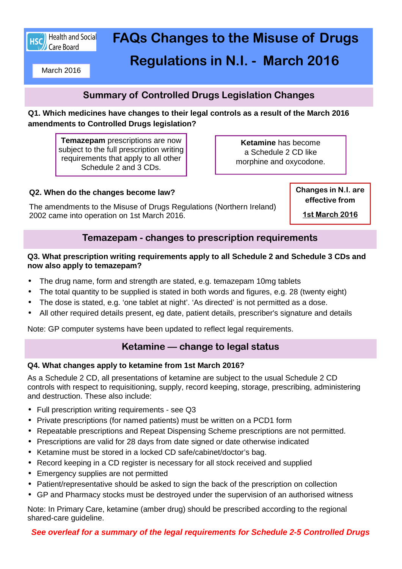

# **FAQs Changes to the Misuse of Drugs Regulations in N.I. - March 2016**

March 2016

# **Summary of Controlled Drugs Legislation Changes**

**Q1. Which medicines have changes to their legal controls as a result of the March 2016 amendments to Controlled Drugs legislation?** 

**Temazepam** prescriptions are now subject to the full prescription writing requirements that apply to all other Schedule 2 and 3 CDs.

**Ketamine** has become a Schedule 2 CD like morphine and oxycodone.

#### **Q2. When do the changes become law?**

The amendments to the Misuse of Drugs Regulations (Northern Ireland) 2002 came into operation on 1st March 2016.

**Changes in N.I. are effective from** 

**1st March 2016** 

## **Temazepam - changes to prescription requirements**

#### **Q3. What prescription writing requirements apply to all Schedule 2 and Schedule 3 CDs and now also apply to temazepam?**

- The drug name, form and strength are stated, e.g. temazepam 10mg tablets
- The total quantity to be supplied is stated in both words and figures, e.g. 28 (twenty eight)
- The dose is stated, e.g. 'one tablet at night'. 'As directed' is not permitted as a dose.
- All other required details present, eg date, patient details, prescriber's signature and details

Note: GP computer systems have been updated to reflect legal requirements.

## **Ketamine — change to legal status**

#### **Q4. What changes apply to ketamine from 1st March 2016?**

As a Schedule 2 CD, all presentations of ketamine are subject to the usual Schedule 2 CD controls with respect to requisitioning, supply, record keeping, storage, prescribing, administering and destruction. These also include:

- Full prescription writing requirements see Q3
- Private prescriptions (for named patients) must be written on a PCD1 form
- Repeatable prescriptions and Repeat Dispensing Scheme prescriptions are not permitted.
- Prescriptions are valid for 28 days from date signed or date otherwise indicated
- Ketamine must be stored in a locked CD safe/cabinet/doctor's bag.
- Record keeping in a CD register is necessary for all stock received and supplied
- Emergency supplies are not permitted
- Patient/representative should be asked to sign the back of the prescription on collection
- GP and Pharmacy stocks must be destroyed under the supervision of an authorised witness

Note: In Primary Care, ketamine (amber drug) should be prescribed according to the regional shared-care guideline.

**See overleaf for a summary of the legal requirements for Schedule 2-5 Controlled Drugs**